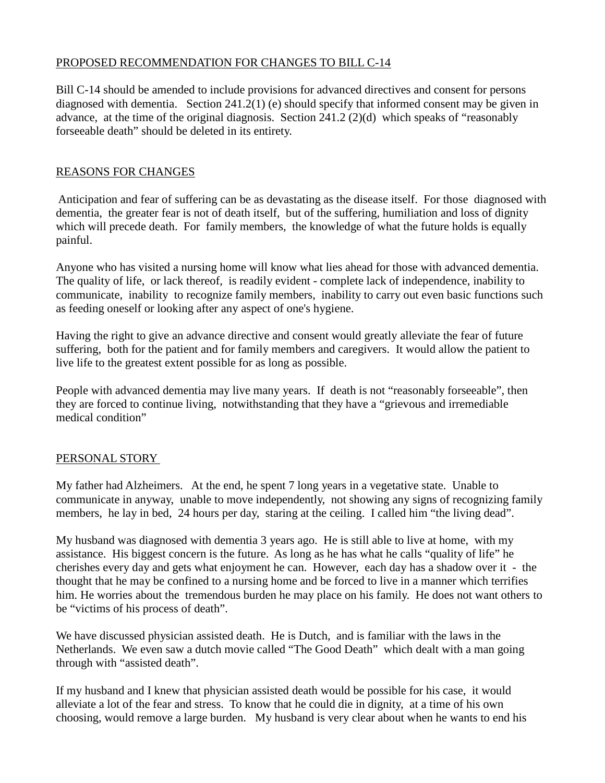## PROPOSED RECOMMENDATION FOR CHANGES TO BILL C-14

Bill C-14 should be amended to include provisions for advanced directives and consent for persons diagnosed with dementia. Section 241.2(1) (e) should specify that informed consent may be given in advance, at the time of the original diagnosis. Section 241.2 (2)(d) which speaks of "reasonably forseeable death" should be deleted in its entirety.

## REASONS FOR CHANGES

Anticipation and fear of suffering can be as devastating as the disease itself. For those diagnosed with dementia, the greater fear is not of death itself, but of the suffering, humiliation and loss of dignity which will precede death. For family members, the knowledge of what the future holds is equally painful.

Anyone who has visited a nursing home will know what lies ahead for those with advanced dementia. The quality of life, or lack thereof, is readily evident - complete lack of independence, inability to communicate, inability to recognize family members, inability to carry out even basic functions such as feeding oneself or looking after any aspect of one's hygiene.

Having the right to give an advance directive and consent would greatly alleviate the fear of future suffering, both for the patient and for family members and caregivers. It would allow the patient to live life to the greatest extent possible for as long as possible.

People with advanced dementia may live many years. If death is not "reasonably forseeable", then they are forced to continue living, notwithstanding that they have a "grievous and irremediable medical condition"

## PERSONAL STORY

My father had Alzheimers. At the end, he spent 7 long years in a vegetative state. Unable to communicate in anyway, unable to move independently, not showing any signs of recognizing family members, he lay in bed, 24 hours per day, staring at the ceiling. I called him "the living dead".

My husband was diagnosed with dementia 3 years ago. He is still able to live at home, with my assistance. His biggest concern is the future. As long as he has what he calls "quality of life" he cherishes every day and gets what enjoyment he can. However, each day has a shadow over it - the thought that he may be confined to a nursing home and be forced to live in a manner which terrifies him. He worries about the tremendous burden he may place on his family. He does not want others to be "victims of his process of death".

We have discussed physician assisted death. He is Dutch, and is familiar with the laws in the Netherlands. We even saw a dutch movie called "The Good Death" which dealt with a man going through with "assisted death".

If my husband and I knew that physician assisted death would be possible for his case, it would alleviate a lot of the fear and stress. To know that he could die in dignity, at a time of his own choosing, would remove a large burden. My husband is very clear about when he wants to end his